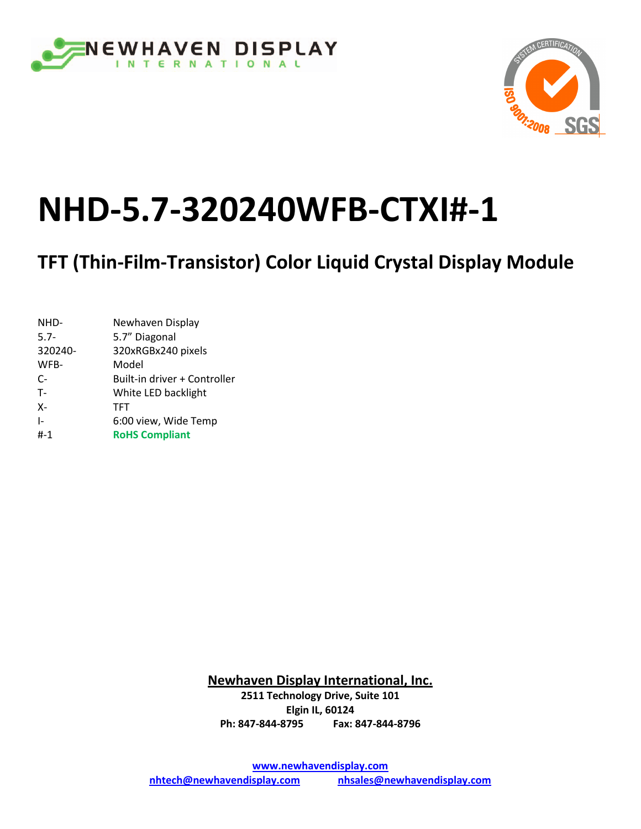



# **NHD-5.7-320240WFB-CTXI#-1**

**TFT (Thin-Film-Transistor) Color Liquid Crystal Display Module** 

| NHD-         | Newhaven Display             |
|--------------|------------------------------|
| $5.7 -$      | 5.7" Diagonal                |
| 320240-      | 320xRGBx240 pixels           |
| WFB-         | Model                        |
| $C-$         | Built-in driver + Controller |
| $T -$        | White LED backlight          |
| $X -$        | <b>TFT</b>                   |
| $\mathbf{I}$ | 6:00 view, Wide Temp         |
| #-1          | <b>RoHS Compliant</b>        |
|              |                              |

**Newhaven Display International, Inc. 2511 Technology Drive, Suite 101 Elgin IL, 60124 Ph: 847-844-8795 Fax: 847-844-8796**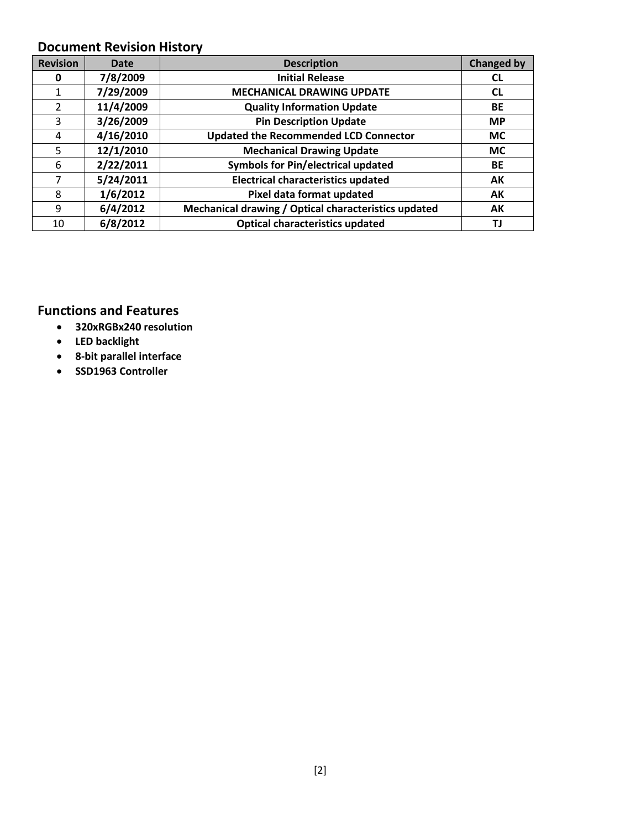#### **Document Revision History**

| <b>Revision</b> | Date      | <b>Description</b>                                   | <b>Changed by</b> |
|-----------------|-----------|------------------------------------------------------|-------------------|
| 0               | 7/8/2009  | <b>Initial Release</b>                               | CL                |
|                 | 7/29/2009 | <b>MECHANICAL DRAWING UPDATE</b>                     | <b>CL</b>         |
| 2               | 11/4/2009 | <b>Quality Information Update</b>                    | BE                |
| 3               | 3/26/2009 | <b>Pin Description Update</b>                        | <b>MP</b>         |
| 4               | 4/16/2010 | <b>Updated the Recommended LCD Connector</b>         | <b>MC</b>         |
| 5               | 12/1/2010 | <b>Mechanical Drawing Update</b>                     | <b>MC</b>         |
| 6               | 2/22/2011 | <b>Symbols for Pin/electrical updated</b>            | BE                |
|                 | 5/24/2011 | <b>Electrical characteristics updated</b>            | AK                |
| 8               | 1/6/2012  | Pixel data format updated                            | AK                |
| 9               | 6/4/2012  | Mechanical drawing / Optical characteristics updated | AK                |
| 10              | 6/8/2012  | <b>Optical characteristics updated</b>               | ΤJ                |

#### **Functions and Features**

- **320xRGBx240 resolution**
- **LED backlight**
- **8-bit parallel interface**
- **SSD1963 Controller**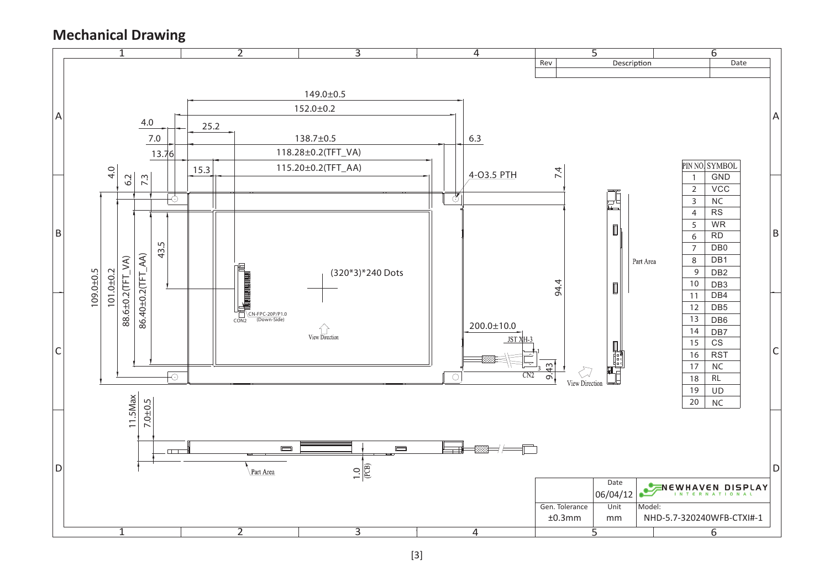**Mechanical Drawing**

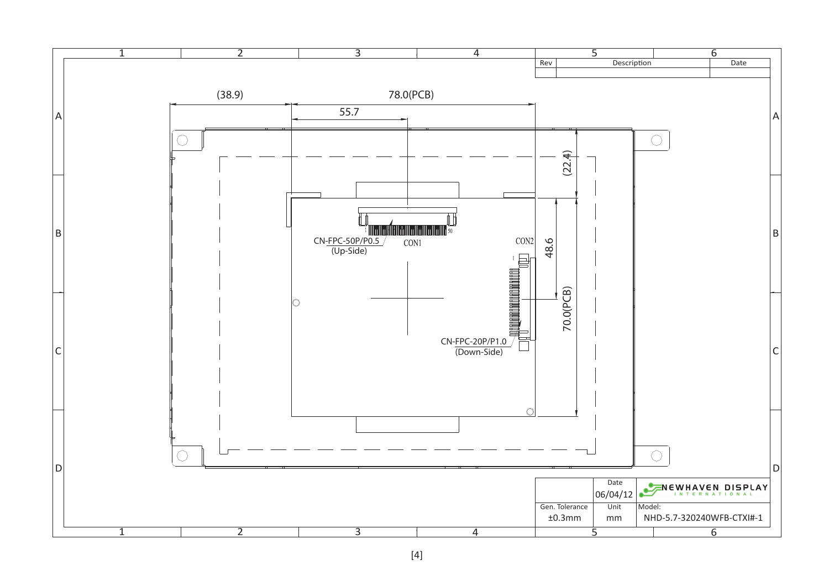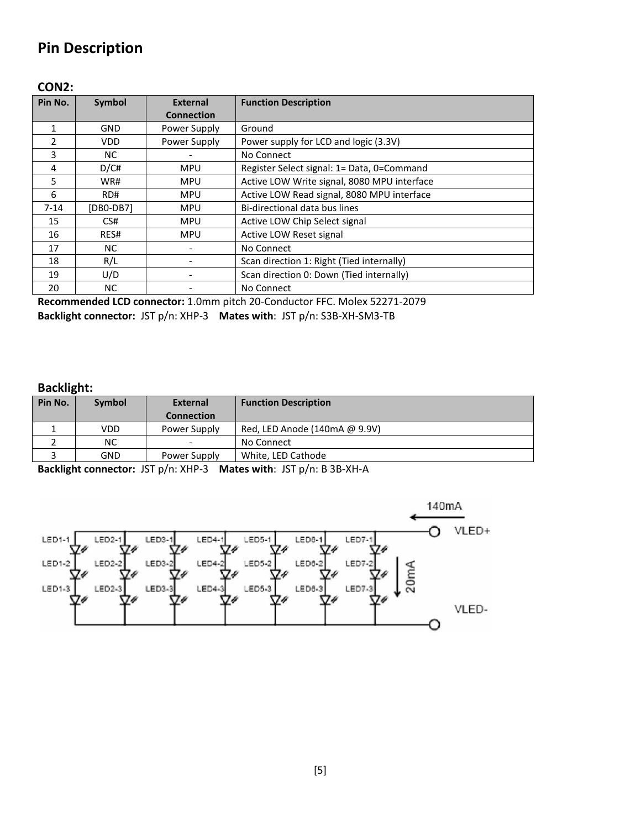## **Pin Description**

#### **CON2:**

| Pin No.  | Symbol      | External          | <b>Function Description</b>                 |
|----------|-------------|-------------------|---------------------------------------------|
|          |             | <b>Connection</b> |                                             |
| 1        | <b>GND</b>  | Power Supply      | Ground                                      |
| 2        | VDD.        | Power Supply      | Power supply for LCD and logic (3.3V)       |
| 3        | NC.         |                   | No Connect                                  |
| 4        | D/C#        | <b>MPU</b>        | Register Select signal: 1= Data, 0=Command  |
| 5        | WR#         | <b>MPU</b>        | Active LOW Write signal, 8080 MPU interface |
| 6        | RD#         | <b>MPU</b>        | Active LOW Read signal, 8080 MPU interface  |
| $7 - 14$ | $[DB0-DB7]$ | <b>MPU</b>        | Bi-directional data bus lines               |
| 15       | CS#         | <b>MPU</b>        | Active LOW Chip Select signal               |
| 16       | RES#        | <b>MPU</b>        | Active LOW Reset signal                     |
| 17       | NC.         |                   | No Connect                                  |
| 18       | R/L         |                   | Scan direction 1: Right (Tied internally)   |
| 19       | U/D         |                   | Scan direction 0: Down (Tied internally)    |
| 20       | NC.         |                   | No Connect                                  |

**Recommended LCD connector:** 1.0mm pitch 20-Conductor FFC. Molex 52271-2079 **Backlight connector:** JST p/n: XHP-3 **Mates with**: JST p/n: S3B-XH-SM3-TB

#### **Backlight:**

| Pin No. | <b>Symbol</b> | <b>External</b>          | <b>Function Description</b>   |
|---------|---------------|--------------------------|-------------------------------|
|         |               | <b>Connection</b>        |                               |
|         | VDD.          | Power Supply             | Red, LED Anode (140mA @ 9.9V) |
|         | NС            | $\overline{\phantom{0}}$ | No Connect                    |
|         | GND           | Power Supply             | White, LED Cathode            |
|         |               |                          |                               |

**Backlight connector:** JST p/n: XHP-3 **Mates with**: JST p/n: B 3B-XH-A

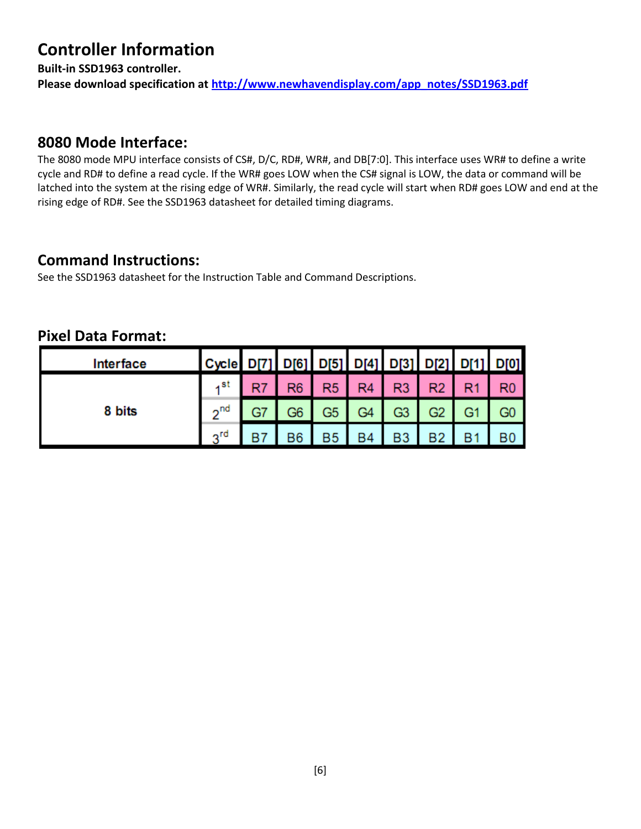# **Controller Information**

**Built-in SSD1963 controller.**

Please download specification at [http://www.newhavendisplay.com/app\\_notes/SSD1963.pdf](http://www.newhavendisplay.com/app_notes/SSD1963.pdf)

#### **8080 Mode Interface:**

The 8080 mode MPU interface consists of CS#, D/C, RD#, WR#, and DB[7:0]. This interface uses WR# to define a write cycle and RD# to define a read cycle. If the WR# goes LOW when the CS# signal is LOW, the data or command will be latched into the system at the rising edge of WR#. Similarly, the read cycle will start when RD# goes LOW and end at the rising edge of RD#. See the SSD1963 datasheet for detailed timing diagrams.

#### **Command Instructions:**

See the SSD1963 datasheet for the Instruction Table and Command Descriptions.

| Interface | Cycle   D[7]   D[6]   D[5]   D[4]   D[3]   D[2]   D[1]   D[0] |                |                |                |                |                |  |
|-----------|---------------------------------------------------------------|----------------|----------------|----------------|----------------|----------------|--|
| 8 bits    | . st                                                          | R <sub>6</sub> | R <sub>5</sub> | R <sub>4</sub> | R3             | R2             |  |
|           | 2 <sup>nd</sup>                                               | G6             | G5             | G4             | G3             | G <sub>2</sub> |  |
|           | 2 <sub>rd</sub>                                               | B6             | <b>B5</b>      | <b>B4</b>      | B <sub>3</sub> | <b>B2</b>      |  |

#### **Pixel Data Format:**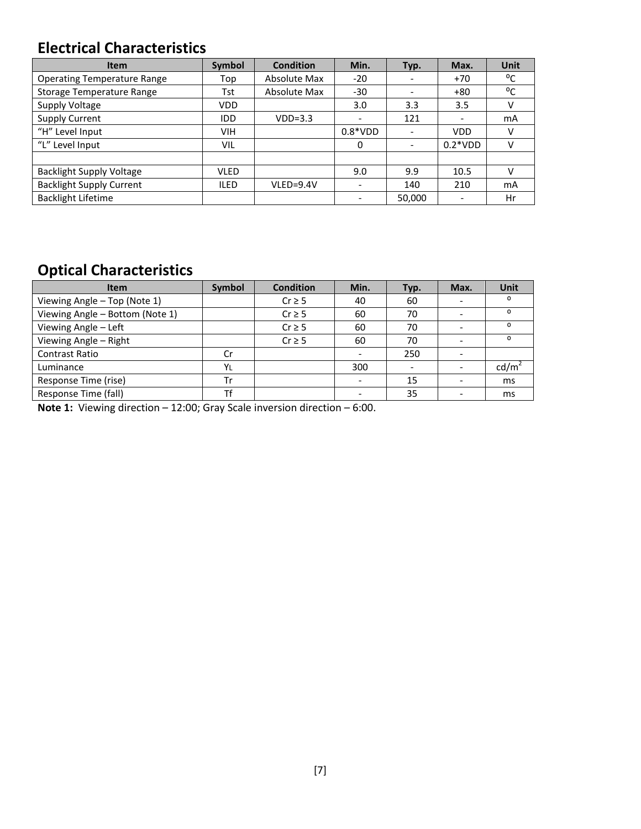## **Electrical Characteristics**

| <b>Item</b>                        | <b>Symbol</b> | <b>Condition</b> | Min.                     | Typ.                         | Max.       | <b>Unit</b> |
|------------------------------------|---------------|------------------|--------------------------|------------------------------|------------|-------------|
| <b>Operating Temperature Range</b> | Top           | Absolute Max     | -20                      | $\qquad \qquad \blacksquare$ | $+70$      | °C          |
| Storage Temperature Range          | Tst           | Absolute Max     | -30                      |                              | $+80$      | °C          |
| Supply Voltage                     | <b>VDD</b>    |                  | 3.0                      | 3.3                          | 3.5        | v           |
| <b>Supply Current</b>              | <b>IDD</b>    | $VDD=3.3$        | $\overline{\phantom{a}}$ | 121                          |            | mA          |
| "H" Level Input                    | VIH           |                  | $0.8*VDD$                | $\overline{\phantom{a}}$     | <b>VDD</b> | v           |
| "L" Level Input                    | VIL           |                  | 0                        | $\overline{\phantom{a}}$     | $0.2*VDD$  | v           |
|                                    |               |                  |                          |                              |            |             |
| <b>Backlight Supply Voltage</b>    | <b>VLED</b>   |                  | 9.0                      | 9.9                          | 10.5       | v           |
| <b>Backlight Supply Current</b>    | <b>ILED</b>   | $VLED = 9.4V$    |                          | 140                          | 210        | mA          |
| <b>Backlight Lifetime</b>          |               |                  |                          | 50,000                       |            | Hr          |

# **Optical Characteristics**

| <b>Item</b>                     | Symbol | <b>Condition</b> | Min. | Typ. | Max. | Unit |
|---------------------------------|--------|------------------|------|------|------|------|
| Viewing Angle - Top (Note 1)    |        | $Cr \geq 5$      | 40   | 60   |      |      |
| Viewing Angle - Bottom (Note 1) |        | $Cr \geq 5$      | 60   | 70   |      | O    |
| Viewing Angle - Left            |        | $Cr \geq 5$      | 60   | 70   |      | n    |
| Viewing Angle - Right           |        | $Cr \geq 5$      | 60   | 70   |      | n    |
| <b>Contrast Ratio</b>           | Cr     |                  |      | 250  |      |      |
| Luminance                       | YL     |                  | 300  |      |      | cd/m |
| Response Time (rise)            | Tr     |                  |      | 15   |      | ms   |
| Response Time (fall)            | Tf     |                  |      | 35   |      | ms   |

**Note 1:** Viewing direction – 12:00; Gray Scale inversion direction – 6:00.